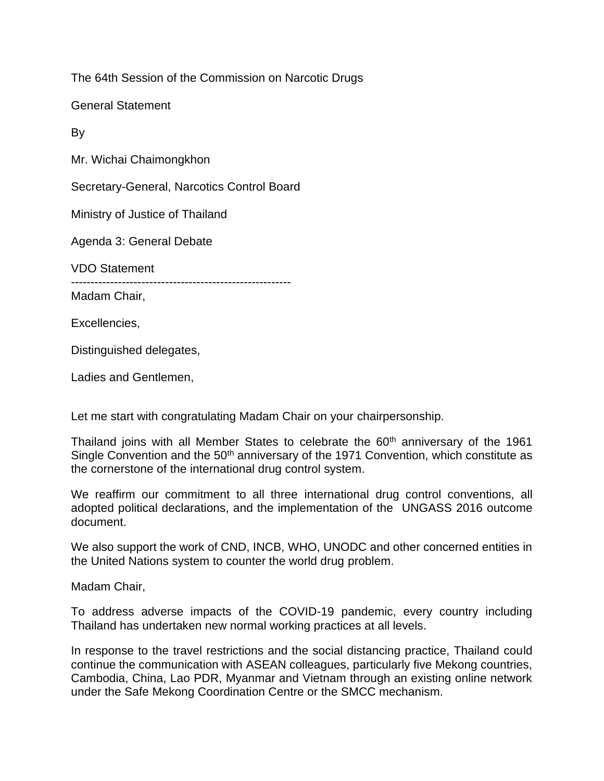The 64th Session of the Commission on Narcotic Drugs

General Statement

By

Mr. Wichai Chaimongkhon

Secretary-General, Narcotics Control Board

Ministry of Justice of Thailand

Agenda 3: General Debate

VDO Statement

--------------------------------------------------------

Madam Chair,

Excellencies,

Distinguished delegates,

Ladies and Gentlemen,

Let me start with congratulating Madam Chair on your chairpersonship.

Thailand joins with all Member States to celebrate the 60<sup>th</sup> anniversary of the 1961 Single Convention and the 50<sup>th</sup> anniversary of the 1971 Convention, which constitute as the cornerstone of the international drug control system.

We reaffirm our commitment to all three international drug control conventions, all adopted political declarations, and the implementation of the UNGASS 2016 outcome document.

We also support the work of CND, INCB, WHO, UNODC and other concerned entities in the United Nations system to counter the world drug problem.

Madam Chair,

To address adverse impacts of the COVID-19 pandemic, every country including Thailand has undertaken new normal working practices at all levels.

In response to the travel restrictions and the social distancing practice, Thailand could continue the communication with ASEAN colleagues, particularly five Mekong countries, Cambodia, China, Lao PDR, Myanmar and Vietnam through an existing online network under the Safe Mekong Coordination Centre or the SMCC mechanism.